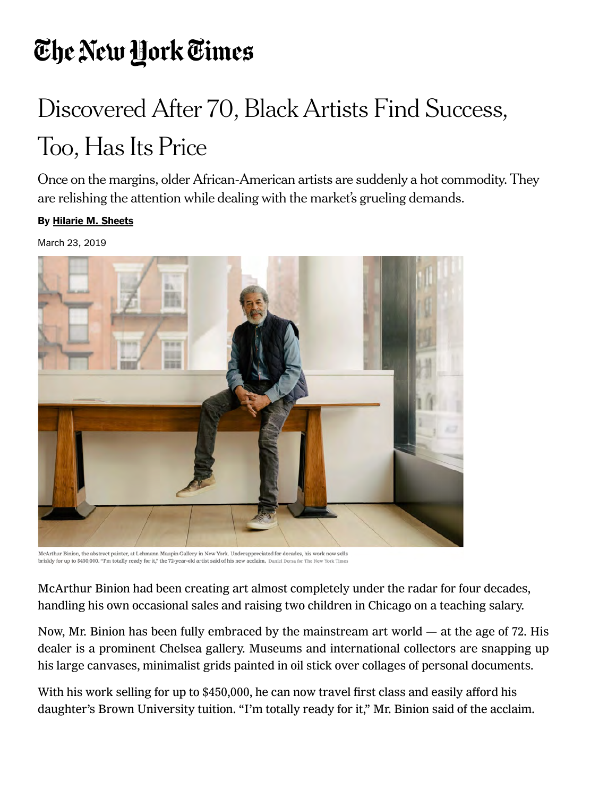# The New York Times

# Discovered After 70, Black Artists Find Success, Too, Has Its Price

Once on the margins, older African‑American artists are suddenly a hot commodity. They are relishing the attention while dealing with the market's grueling demands.

#### By [Hilarie M. Sheets](https://www.nytimes.com/by/hilarie-m-sheets)

March 23, 2019



McArthur Binion, the abstract painter, at Lehmann Maupin Gallery in New York. Underappreciated for decades, his work now sells briskly for up to \$450,000. "I'm totally ready for it," the 72-year-old artist said of his new acclaim. Daniel Dorsa for The New York Times

McArthur Binion had been creating art almost completely under the radar for four decades, handling his own occasional sales and raising two children in Chicago on a teaching salary.

Now, Mr. Binion has been fully embraced by the mainstream art world — at the age of 72. His dealer is a prominent Chelsea gallery. Museums and international collectors are snapping up his large canvases, minimalist grids painted in oil stick over collages of personal documents.

With his work selling for up to \$450,000, he can now travel first class and easily afford his daughter's Brown University tuition. "I'm totally ready for it," Mr. Binion said of the acclaim.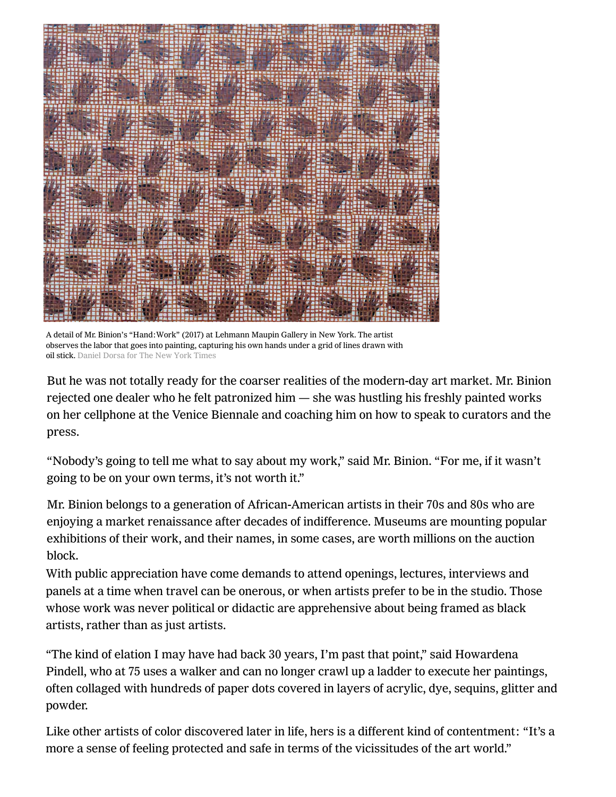

A detail of Mr. Binion's "Hand:Work" (2017) at Lehmann Maupin Gallery in New York. The artist observes the labor that goes into painting, capturing his own hands under a grid of lines drawn with oil stick. Daniel Dorsa for The New York Times

But he was not totally ready for the coarser realities of the modern-day art market. Mr. Binion rejected one dealer who he felt patronized him — she was hustling his freshly painted works on her cellphone at the Venice Biennale and coaching him on how to speak to curators and the press.

"Nobody's going to tell me what to say about my work," said Mr. Binion. "For me, if it wasn't going to be on your own terms, it's not worth it."

Mr. Binion belongs to a generation of African‑American artists in their 70s and 80s who are enjoying a market renaissance after decades of indifference. Museums are mounting popular exhibitions of their work, and their names, in some cases, are worth millions on the auction block.

With public appreciation have come demands to attend openings, lectures, interviews and panels at a time when travel can be onerous, or when artists prefer to be in the studio. Those whose work was never political or didactic are apprehensive about being framed as black artists, rather than as just artists.

["The kind of elation I may have had back 30 years, I'm past that point," said Howardena](https://mcachicago.org/Exhibitions/2018/Howardena-Pindell) Pindell, who at 75 uses a walker and can no longer crawl up a ladder to execute her paintings, often collaged with hundreds of paper dots covered in layers of acrylic, dye, sequins, glitter and powder.

Like other artists of color discovered later in life, hers is a different kind of contentment: "It's a more a sense of feeling protected and safe in terms of the vicissitudes of the art world."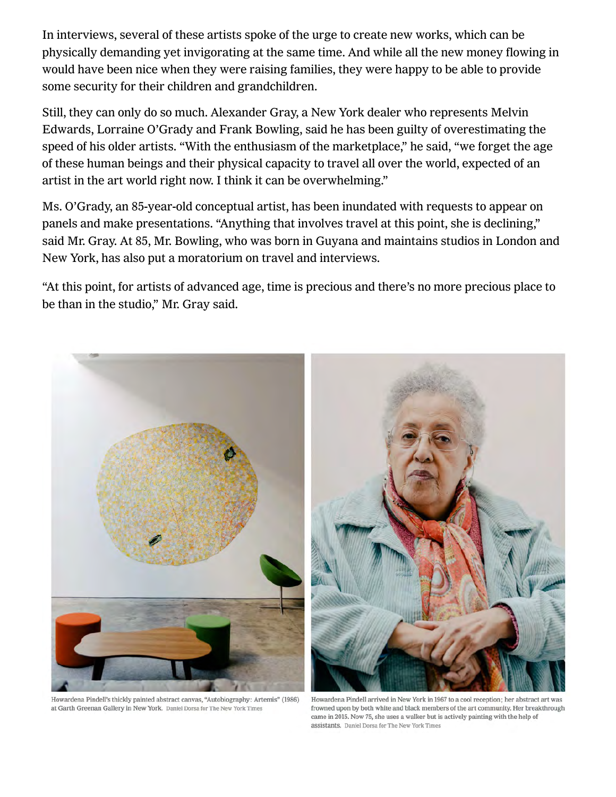In interviews, several of these artists spoke of the urge to create new works, which can be physically demanding yet invigorating at the same time. And while all the new money flowing in would have been nice when they were raising families, they were happy to be able to provide some security for their children and grandchildren.

Still, they can only do so much. Alexander Gray, a New York dealer who represents Melvin Edwards, Lorraine O'Grady and Frank Bowling, said he has been guilty of overestimating the speed of his older artists. "With the enthusiasm of the marketplace," he said, "we forget the age of these human beings and their physical capacity to travel all over the world, expected of an artist in the art world right now. I think it can be overwhelming."

Ms. O'Grady, an 85-year-old conceptual artist, has been inundated with requests to appear on panels and make presentations. "Anything that involves travel at this point, she is declining," said Mr. Gray. At 85, Mr. Bowling, who was born in Guyana and maintains studios in London and New York, has also put a moratorium on travel and interviews.

"At this point, for artists of advanced age, time is precious and there's no more precious place to be than in the studio," Mr. Gray said.



Howardena Pindell's thickly painted abstract canvas, "Autobiography: Artemis" (1986) at Garth Greenan Gallery in New York. Daniel Dorsa for The New York Times

Howardena Pindell arrived in New York in 1967 to a cool reception; her abstract art was frowned upon by both white and black members of the art community. Her breakthrough came in 2015. Now 75, she uses a walker but is actively painting with the help of assistants. Daniel Dorsa for The New York Times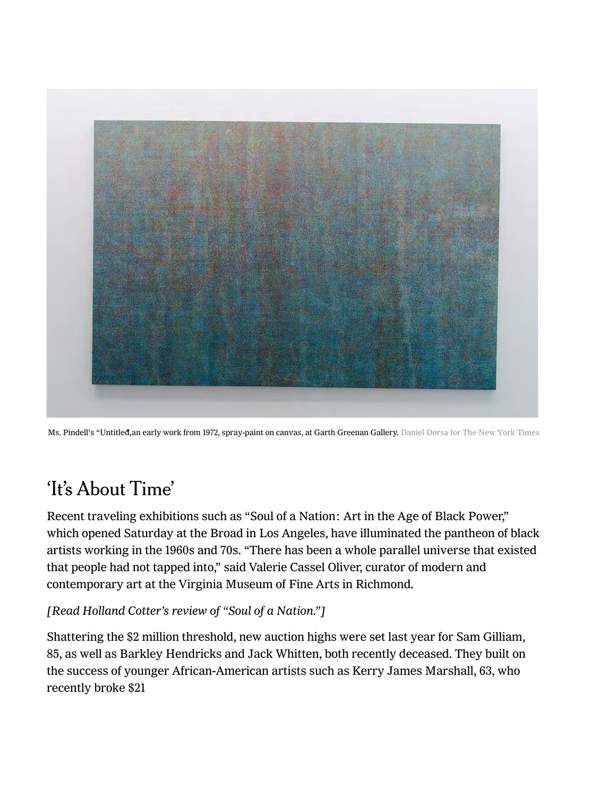

Ms. Pindell's "Untitled, an early work from 1972, spray-paint on canvas, at Garth Greenan Gallery. Daniel Dorsa for The New York Times

## 'It's About Time'

Recent traveling exhibitions such as ["Soul of a Nation: Art in the Age of Black Power,"](https://www.thebroad.org/soul-of-a-nation) which opened Saturday [at the Broad](https://www.thebroad.org/soul-of-a-nation) in Los Angeles, have illuminated the pantheon of black artists working in the 1960s and 70s. "There has been a whole parallel universe that existed that people had not tapped into," said Valerie Cassel Oliver, curator of modern and contemporary art at the [Virginia Museum of Fine Arts](https://www.vmfa.museum/) in Richmond.

### [[Read Holland Cotter's review of "Soul of a Nation."\]](https://www.nytimes.com/2018/09/13/arts/design/soul-of-a-nation-review-brooklyn-museum-black-power.html?module=inline)

Shattering the \$2 million threshold, new auction highs were set last year for Sam Gilliam, 85, as well as [Barkley Hendricks](https://www.culturetype.com/2018/05/18/two-1970s-era-portraits-by-barkley-l-hendricks-top-2-million-at-sothebys-shattering-the-artists-previous-record/) and [Jack Whitten,](https://www.culturetype.com/2018/11/15/jack-whittens-ancient-mentor-i-reaches-2-2-million-establishing-new-auction-record-more-than-twice-his-previous-high-mark/) both recently deceased. They built on the success of younger African‑American artists such as Kerry James Marshall, 63, who recently broke \$21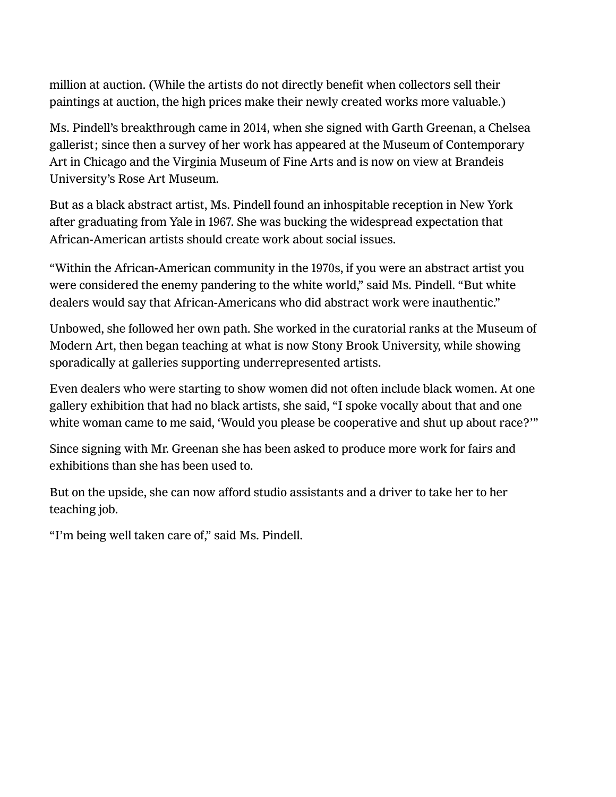[million at auction. \(While the artists do not directly benefit when collectors sell their](https://www.nytimes.com/2018/05/18/arts/sean-combs-kerry-james-marshall.html?module=inline)  paintings at auction, the high prices make their newly created works more valuable.)

[Ms. Pindell's breakthrough came in 2014, when she signed with Garth Greenan, a Chelsea](https://www.brandeis.edu/rose/)  gallerist; since then a survey of her work has appeared at the Museum of Contemporary Art in Chicago and the Virginia Museum of Fine Arts and is now on view at Brandeis University's Rose Art Museum.

But as a black abstract artist, Ms. Pindell found an inhospitable reception in New York after graduating from Yale in 1967. She was bucking the widespread expectation that African‑American artists should create work about social issues.

"Within the African‑American community in the 1970s, if you were an abstract artist you were considered the enemy pandering to the white world," said Ms. Pindell. "But white dealers would say that African-Americans who did abstract work were inauthentic."

Unbowed, she followed her own path. She worked in the curatorial ranks at the Museum of Modern Art, then [began teaching](http://art.stonybrook.edu/person/howardena-pindell/) at what is now Stony Brook University, while showing sporadically at galleries supporting underrepresented artists.

Even dealers who were starting to show women did not often include black women. At one gallery exhibition that had no black artists, she said, "I spoke vocally about that and one white woman came to me said, 'Would you please be cooperative and shut up about race?'"

Since signing with Mr. Greenan she has been asked to produce more work for fairs and exhibitions than she has been used to.

But on the upside, she can now afford studio assistants and a driver to take her to her teaching job.

"I'm being well taken care of," said Ms. Pindell.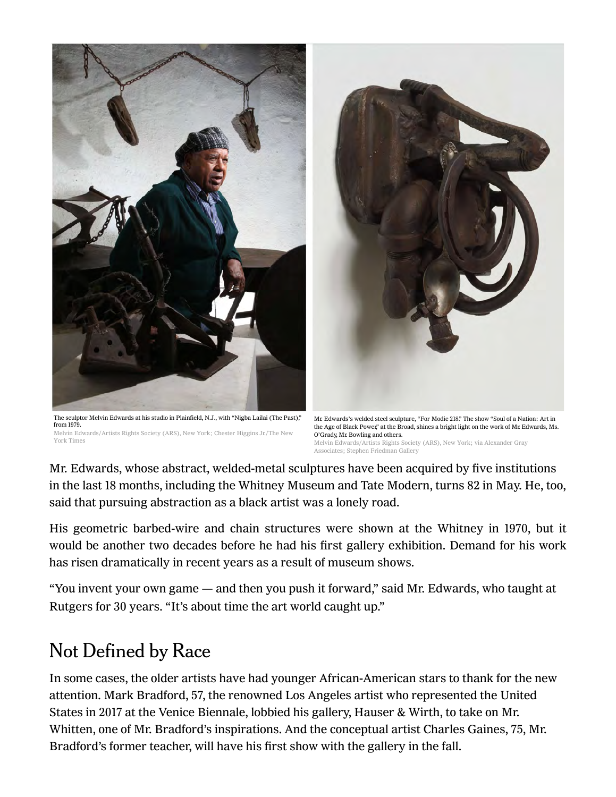

The sculptor Melvin Edwards at his studio in Plainfield, N.J., with "Nigba Lailai (The Past)," from 1979. Melvin Edwards/Artists Rights Society (ARS), New York; Chester Higgins Jr./The New York Times

Mr. Edwards's welded steel sculpture, "For Modie 218." The show "Soul of a Nation: Art in the Age of Black Power," at the Broad, shines a bright light on the work of Mr. Edwards, Ms. O'Grady, Mr. Bowling and others. Melvin Edwards/Artists Rights Society (ARS), New York; via Alexander Gray Associates; Stephen Friedman Gallery

Mr. Edwards, whose abstract, welded-metal sculptures have been acquired by five institutions in the last 18 months, including the Whitney Museum and Tate Modern, turns 82 in May. He, too, said that pursuing abstraction as a black artist was a lonely road.

His geometric barbed-wire and chain structures were shown at the Whitney in 1970, but it would be another two decades before he had his first gallery exhibition. Demand for his work has risen dramatically in recent years as a result of museum shows.

"You invent your own game — and then you push it forward," said Mr. Edwards, who taught at Rutgers for 30 years. "It's about time the art world caught up."

### Not Defined by Race

In some cases, the older artists have had younger African-American stars to thank for the new attention. Mark Bradford, 57, the renowned Los Angeles artist who represented the United States in 2017 at the Venice Biennale, lobbied his gallery, Hauser & Wirth, to take on Mr. Whitten, one of Mr. Bradford's inspirations. And the conceptual artist Charles Gaines, 75, Mr. Bradford's former teacher, will have his first show with the gallery in the fall.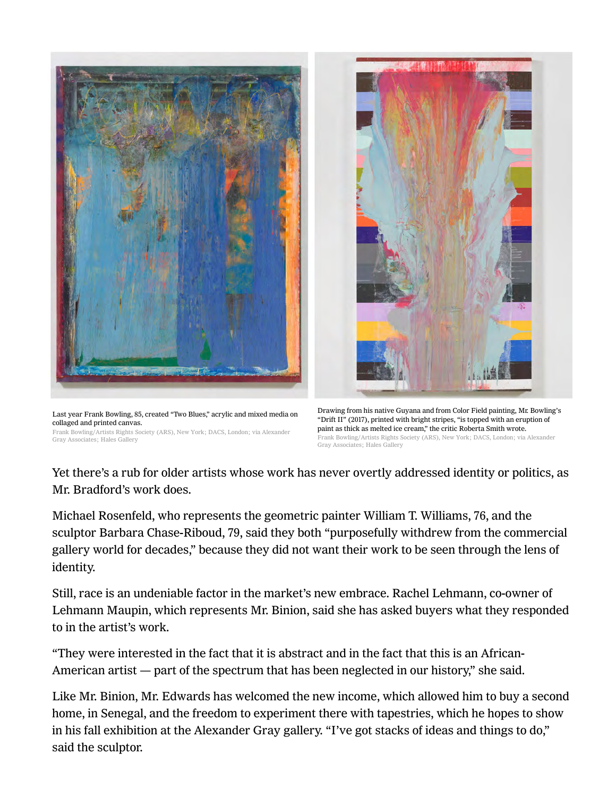

Last year Frank Bowling, 85, created "Two Blues," acrylic and mixed media on collaged and printed canvas.

Frank Bowling/Artists Rights Society (ARS), New York; DACS, London; via Alexander Gray Associates; Hales Gallery



Drawing from his native Guyana and from Color Field painting, Mr. Bowling's "Drift II" (2017), printed with bright stripes, "is topped with an eruption of paint as thick as melted ice cream," the critic Roberta Smith wrote. Frank Bowling/Artists Rights Society (ARS), New York; DACS, London; via Alexander Gray Associates; Hales Gallery

Yet there's a rub for older artists whose work has never overtly addressed identity or politics, as Mr. Bradford's work does.

Michael Rosenfeld, who represents the geometric painter William T. Williams, 76, and the sculptor Barbara Chase-Riboud, 79, said they both "purposefully withdrew from the commercial gallery world for decades," because they did not want their work to be seen through the lens of identity.

Still, race is an undeniable factor in the market's new embrace. Rachel Lehmann, co-owner of Lehmann Maupin, which represents Mr. Binion, said she has asked buyers what they responded to in the artist's work.

"They were interested in the fact that it is abstract and in the fact that this is an African‑ American artist — part of the spectrum that has been neglected in our history," she said.

Like Mr. Binion, Mr. Edwards has welcomed the new income, which allowed him to buy a second home, in Senegal, and the freedom to experiment there with tapestries, which he hopes to show in his fall exhibition at the Alexander Gray gallery. "I've got stacks of ideas and things to do," said the sculptor.